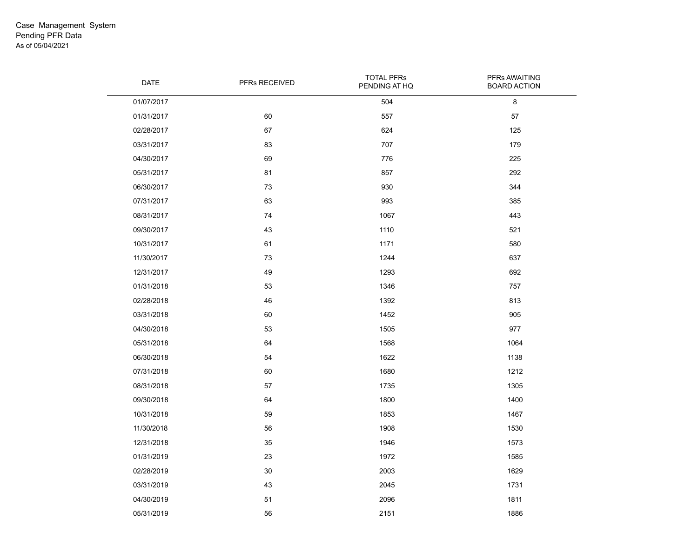| DATE       | PFRs RECEIVED | <b>TOTAL PFRs</b><br>PENDING AT HQ | PFRs AWAITING<br><b>BOARD ACTION</b> |
|------------|---------------|------------------------------------|--------------------------------------|
| 01/07/2017 |               | 504                                | 8                                    |
| 01/31/2017 | 60            | 557                                | 57                                   |
| 02/28/2017 | 67            | 624                                | 125                                  |
| 03/31/2017 | 83            | 707                                | 179                                  |
| 04/30/2017 | 69            | 776                                | 225                                  |
| 05/31/2017 | 81            | 857                                | 292                                  |
| 06/30/2017 | 73            | 930                                | 344                                  |
| 07/31/2017 | 63            | 993                                | 385                                  |
| 08/31/2017 | 74            | 1067                               | 443                                  |
| 09/30/2017 | 43            | 1110                               | 521                                  |
| 10/31/2017 | 61            | 1171                               | 580                                  |
| 11/30/2017 | 73            | 1244                               | 637                                  |
| 12/31/2017 | 49            | 1293                               | 692                                  |
| 01/31/2018 | 53            | 1346                               | 757                                  |
| 02/28/2018 | 46            | 1392                               | 813                                  |
| 03/31/2018 | 60            | 1452                               | 905                                  |
| 04/30/2018 | 53            | 1505                               | 977                                  |
| 05/31/2018 | 64            | 1568                               | 1064                                 |
| 06/30/2018 | 54            | 1622                               | 1138                                 |
| 07/31/2018 | 60            | 1680                               | 1212                                 |
| 08/31/2018 | 57            | 1735                               | 1305                                 |
| 09/30/2018 | 64            | 1800                               | 1400                                 |
| 10/31/2018 | 59            | 1853                               | 1467                                 |
| 11/30/2018 | 56            | 1908                               | 1530                                 |
| 12/31/2018 | 35            | 1946                               | 1573                                 |
| 01/31/2019 | 23            | 1972                               | 1585                                 |
| 02/28/2019 | 30            | 2003                               | 1629                                 |
| 03/31/2019 | 43            | 2045                               | 1731                                 |
| 04/30/2019 | 51            | 2096                               | 1811                                 |
| 05/31/2019 | 56            | 2151                               | 1886                                 |